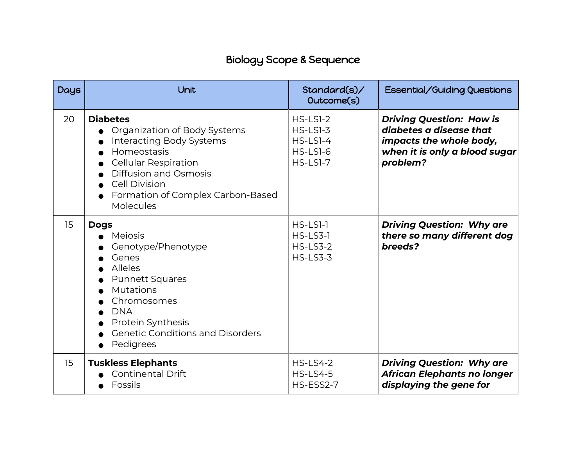## Biology Scope & Sequence

| <b>Days</b> | Unit                                                                                                                                                                                                                                | Standard(s)/<br>Outcome(s)                                                      | Essential/Guiding Questions                                                                                                        |
|-------------|-------------------------------------------------------------------------------------------------------------------------------------------------------------------------------------------------------------------------------------|---------------------------------------------------------------------------------|------------------------------------------------------------------------------------------------------------------------------------|
| 20          | <b>Diabetes</b><br>Organization of Body Systems<br>Interacting Body Systems<br>Homeostasis<br><b>Cellular Respiration</b><br><b>Diffusion and Osmosis</b><br><b>Cell Division</b><br>Formation of Complex Carbon-Based<br>Molecules | $HS$ -LSI-2<br>$HS$ -LSI-3<br>$HS$ -LSI-4<br><b>HS-LS1-6</b><br><b>HS-LS1-7</b> | <b>Driving Question: How is</b><br>diabetes a disease that<br>impacts the whole body,<br>when it is only a blood sugar<br>problem? |
| 15          | <b>Dogs</b><br><b>Meiosis</b><br>Genotype/Phenotype<br>Genes<br><b>Alleles</b><br><b>Punnett Squares</b><br>Mutations<br>Chromosomes<br><b>DNA</b><br>Protein Synthesis<br><b>Genetic Conditions and Disorders</b><br>Pedigrees     | $HS$ -LS1-1<br>$HS$ -LS3-1<br><b>HS-LS3-2</b><br><b>HS-LS3-3</b>                | <b>Driving Question: Why are</b><br>there so many different dog<br>breeds?                                                         |
| 15          | <b>Tuskless Elephants</b><br><b>Continental Drift</b><br>Fossils                                                                                                                                                                    | <b>HS-LS4-2</b><br><b>HS-LS4-5</b><br>HS-ESS2-7                                 | <b>Driving Question: Why are</b><br><b>African Elephants no longer</b><br>displaying the gene for                                  |